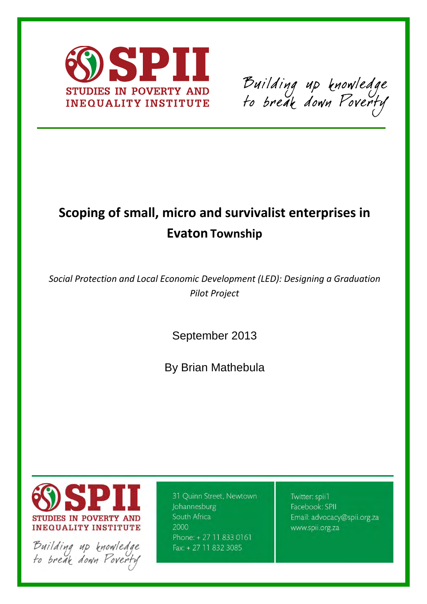

Building up knowledge<br>to break down Poverty

# **Scoping of small, micro and survivalist enterprises in Evaton Township**

*Social Protection and Local Economic Development (LED): Designing a Graduation Pilot Project* 

September 2013

By Brian Mathebula



Building up knowledge<br>to break down Poverty

31 Quinn Street, Newtown Johannesburg South Africa 2000 Phone: +27 11 833 0161 Fax: +27 11 832 3085

Twitter: spii1 Facebook: SPII Email: advocacy@spii.org.za www.spii.org.za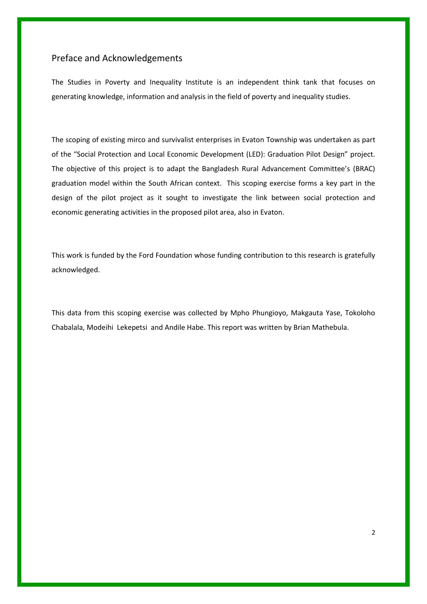# Preface and Acknowledgements

The Studies in Poverty and Inequality Institute is an independent think tank that focuses on generating knowledge, information and analysis in the field of poverty and inequality studies.

The scoping of existing mirco and survivalist enterprises in Evaton Township was undertaken as part of the "Social Protection and Local Economic Development (LED): Graduation Pilot Design" project. The objective of this project is to adapt the Bangladesh Rural Advancement Committee's (BRAC) graduation model within the South African context. This scoping exercise forms a key part in the design of the pilot project as it sought to investigate the link between social protection and economic generating activities in the proposed pilot area, also in Evaton.

This work is funded by the Ford Foundation whose funding contribution to this research is gratefully acknowledged.

This data from this scoping exercise was collected by Mpho Phungioyo, Makgauta Yase, Tokoloho Chabalala, Modeihi Lekepetsi and Andile Habe. This report was written by Brian Mathebula.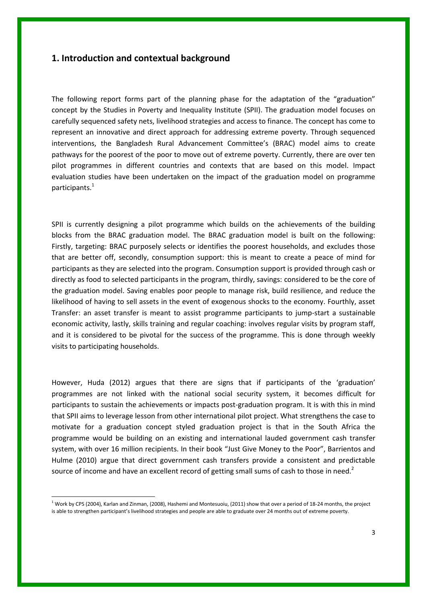# **1. Introduction and contextual background**

The following report forms part of the planning phase for the adaptation of the "graduation" concept by the Studies in Poverty and Inequality Institute (SPII). The graduation model focuses on carefully sequenced safety nets, livelihood strategies and access to finance. The concept has come to represent an innovative and direct approach for addressing extreme poverty. Through sequenced interventions, the Bangladesh Rural Advancement Committee's (BRAC) model aims to create pathways for the poorest of the poor to move out of extreme poverty. Currently, there are over ten pilot programmes in different countries and contexts that are based on this model. Impact evaluation studies have been undertaken on the impact of the graduation model on programme participants.<sup>1</sup>

SPII is currently designing a pilot programme which builds on the achievements of the building blocks from the BRAC graduation model. The BRAC graduation model is built on the following: Firstly, targeting: BRAC purposely selects or identifies the poorest households, and excludes those that are better off, secondly, consumption support: this is meant to create a peace of mind for participants as they are selected into the program. Consumption support is provided through cash or directly as food to selected participants in the program, thirdly, savings: considered to be the core of the graduation model. Saving enables poor people to manage risk, build resilience, and reduce the likelihood of having to sell assets in the event of exogenous shocks to the economy. Fourthly, asset Transfer: an asset transfer is meant to assist programme participants to jump-start a sustainable economic activity, lastly, skills training and regular coaching: involves regular visits by program staff, and it is considered to be pivotal for the success of the programme. This is done through weekly visits to participating households.

However, Huda (2012) argues that there are signs that if participants of the 'graduation' programmes are not linked with the national social security system, it becomes difficult for participants to sustain the achievements or impacts post-graduation program. It is with this in mind that SPII aims to leverage lesson from other international pilot project. What strengthens the case to motivate for a graduation concept styled graduation project is that in the South Africa the programme would be building on an existing and international lauded government cash transfer system, with over 16 million recipients. In their book "Just Give Money to the Poor", Barrientos and Hulme (2010) argue that direct government cash transfers provide a consistent and predictable source of income and have an excellent record of getting small sums of cash to those in need.<sup>2</sup>

 $^1$  Work by CPS (2004), Karlan and Zinman, (2008), Hashemi and Montesuoiu, (2011) show that over a period of 18-24 months, the project is able to strengthen participant's livelihood strategies and people are able to graduate over 24 months out of extreme poverty.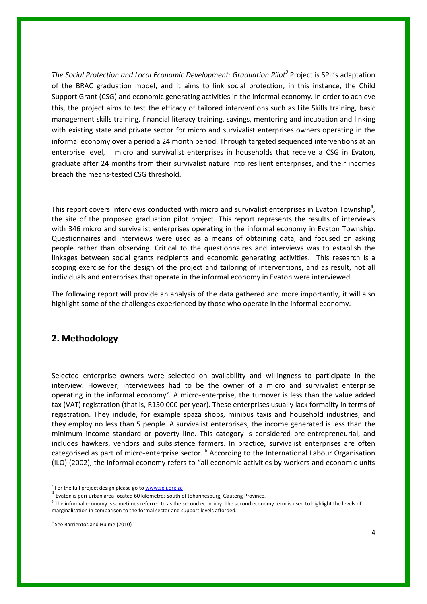*The Social Protection and Local Economic Development: Graduation Pilot<sup>3</sup>* Project is SPII's adaptation of the BRAC graduation model, and it aims to link social protection, in this instance, the Child Support Grant (CSG) and economic generating activities in the informal economy. In order to achieve this, the project aims to test the efficacy of tailored interventions such as Life Skills training, basic management skills training, financial literacy training, savings, mentoring and incubation and linking with existing state and private sector for micro and survivalist enterprises owners operating in the informal economy over a period a 24 month period. Through targeted sequenced interventions at an enterprise level, micro and survivalist enterprises in households that receive a CSG in Evaton, graduate after 24 months from their survivalist nature into resilient enterprises, and their incomes breach the means-tested CSG threshold.

This report covers interviews conducted with micro and survivalist enterprises in Evaton Township<sup>4</sup>, the site of the proposed graduation pilot project. This report represents the results of interviews with 346 micro and survivalist enterprises operating in the informal economy in Evaton Township. Questionnaires and interviews were used as a means of obtaining data, and focused on asking people rather than observing. Critical to the questionnaires and interviews was to establish the linkages between social grants recipients and economic generating activities. This research is a scoping exercise for the design of the project and tailoring of interventions, and as result, not all individuals and enterprises that operate in the informal economy in Evaton were interviewed.

The following report will provide an analysis of the data gathered and more importantly, it will also highlight some of the challenges experienced by those who operate in the informal economy.

# **2. Methodology**

Selected enterprise owners were selected on availability and willingness to participate in the interview. However, interviewees had to be the owner of a micro and survivalist enterprise operating in the informal economy<sup>5</sup>. A micro-enterprise, the turnover is less than the value added tax (VAT) registration (that is, R150 000 per year). These enterprises usually lack formality in terms of registration. They include, for example spaza shops, minibus taxis and household industries, and they employ no less than 5 people. A survivalist enterprises, the income generated is less than the minimum income standard or poverty line. This category is considered pre-entrepreneurial, and includes hawkers, vendors and subsistence farmers. In practice, survivalist enterprises are often categorised as part of micro-enterprise sector. <sup>6</sup> According to the International Labour Organisation (ILO) (2002), the informal economy refers to "all economic activities by workers and economic units

<sup>&</sup>lt;sup>3</sup> For the full project design please go to **www.spii.org.za** 

<sup>&</sup>lt;sup>4</sup> Evaton is peri-urban area located 60 kilometres south of Johannesburg, Gauteng Province.

<sup>&</sup>lt;sup>5</sup> The informal economy is sometimes referred to as the second economy. The second economy term is used to highlight the levels of marginalisation in comparison to the formal sector and support levels afforded.

<sup>6</sup> See Barrientos and Hulme (2010)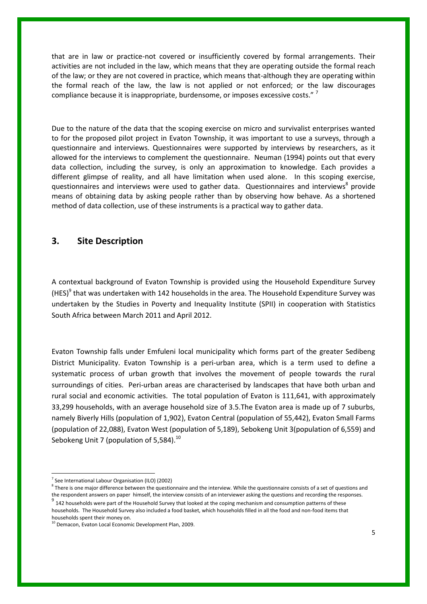that are in law or practice-not covered or insufficiently covered by formal arrangements. Their activities are not included in the law, which means that they are operating outside the formal reach of the law; or they are not covered in practice, which means that-although they are operating within the formal reach of the law, the law is not applied or not enforced; or the law discourages compliance because it is inappropriate, burdensome, or imposes excessive costs."<sup>7</sup>

Due to the nature of the data that the scoping exercise on micro and survivalist enterprises wanted to for the proposed pilot project in Evaton Township, it was important to use a surveys, through a questionnaire and interviews. Questionnaires were supported by interviews by researchers, as it allowed for the interviews to complement the questionnaire. Neuman (1994) points out that every data collection, including the survey, is only an approximation to knowledge. Each provides a different glimpse of reality, and all have limitation when used alone. In this scoping exercise, questionnaires and interviews were used to gather data. Questionnaires and interviews<sup>8</sup> provide means of obtaining data by asking people rather than by observing how behave. As a shortened method of data collection, use of these instruments is a practical way to gather data.

# **3. Site Description**

A contextual background of Evaton Township is provided using the Household Expenditure Survey (HES)<sup>9</sup> that was undertaken with 142 households in the area. The Household Expenditure Survey was undertaken by the Studies in Poverty and Inequality Institute (SPII) in cooperation with Statistics South Africa between March 2011 and April 2012.

Evaton Township falls under Emfuleni local municipality which forms part of the greater Sedibeng District Municipality. Evaton Township is a peri-urban area, which is a term used to define a systematic process of urban growth that involves the movement of people towards the rural surroundings of cities. Peri-urban areas are characterised by landscapes that have both urban and rural social and economic activities. The total population of Evaton is 111,641, with approximately 33,299 households, with an average household size of 3.5.The Evaton area is made up of 7 suburbs, namely Biverly Hills (population of 1,902), Evaton Central (population of 55,442), Evaton Small Farms (population of 22,088), Evaton West (population of 5,189), Sebokeng Unit 3(population of 6,559) and Sebokeng Unit 7 (population of 5,584). $^{10}$ 

<sup>&</sup>lt;sup>7</sup> See International Labour Organisation (ILO) (2002)

 $8$  There is one major difference between the questionnaire and the interview. While the questionnaire consists of a set of questions and the respondent answers on paper himself, the interview consists of an interviewer asking the questions and recording the responses.

 $^9$  142 households were part of the Household Survey that looked at the coping mechanism and consumption patterns of these households. The Household Survey also included a food basket, which households filled in all the food and non-food items that households spent their money on.

<sup>&</sup>lt;sup>10</sup> Demacon, Evaton Local Economic Development Plan, 2009.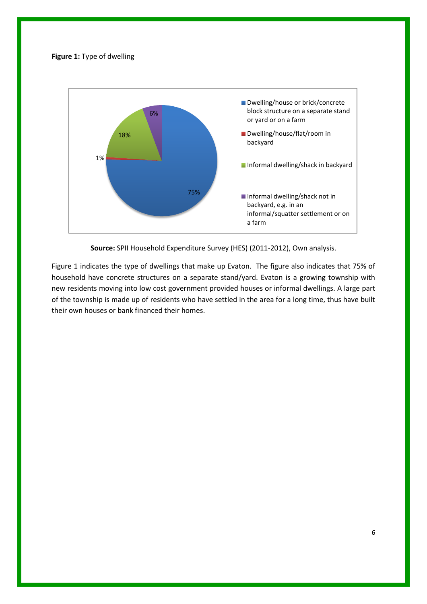## **Figure 1:** Type of dwelling



**Source:** SPII Household Expenditure Survey (HES) (2011-2012), Own analysis.

Figure 1 indicates the type of dwellings that make up Evaton. The figure also indicates that 75% of household have concrete structures on a separate stand/yard. Evaton is a growing township with new residents moving into low cost government provided houses or informal dwellings. A large part of the township is made up of residents who have settled in the area for a long time, thus have built their own houses or bank financed their homes.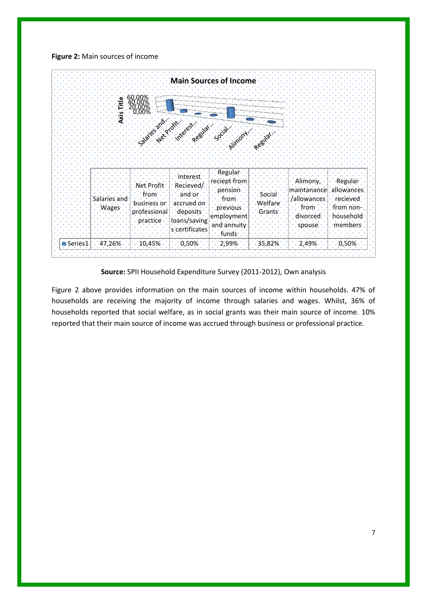**Figure 2:** Main sources of income



**Source:** SPII Household Expenditure Survey (2011-2012), Own analysis

Figure 2 above provides information on the main sources of income within households. 47% of households are receiving the majority of income through salaries and wages. Whilst, 36% of households reported that social welfare, as in social grants was their main source of income. 10% reported that their main source of income was accrued through business or professional practice.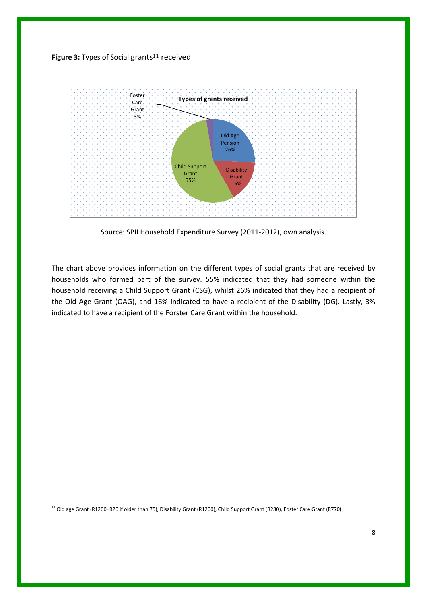



Source: SPII Household Expenditure Survey (2011-2012), own analysis.

The chart above provides information on the different types of social grants that are received by households who formed part of the survey. 55% indicated that they had someone within the household receiving a Child Support Grant (CSG), whilst 26% indicated that they had a recipient of the Old Age Grant (OAG), and 16% indicated to have a recipient of the Disability (DG). Lastly, 3% indicated to have a recipient of the Forster Care Grant within the household.

 $\overline{a}$ 

<sup>&</sup>lt;sup>11</sup> Old age Grant (R1200=R20 if older than 75), Disability Grant (R1200), Child Support Grant (R280), Foster Care Grant (R770).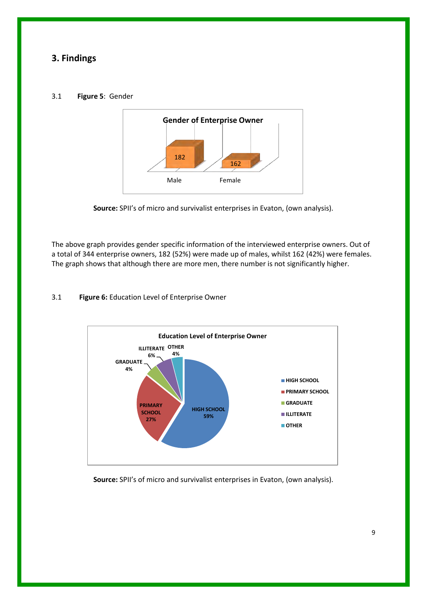# **3. Findings**

## 3.1 **Figure 5**: Gender



**Source:** SPII's of micro and survivalist enterprises in Evaton, (own analysis).

The above graph provides gender specific information of the interviewed enterprise owners. Out of a total of 344 enterprise owners, 182 (52%) were made up of males, whilst 162 (42%) were females. The graph shows that although there are more men, there number is not significantly higher.

# 3.1 **Figure 6:** Education Level of Enterprise Owner



**Source:** SPII's of micro and survivalist enterprises in Evaton, (own analysis).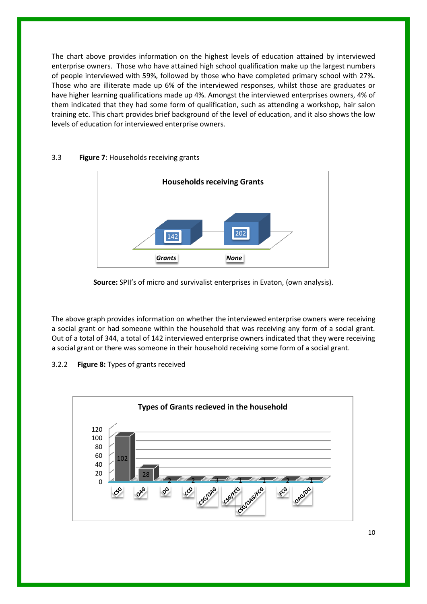The chart above provides information on the highest levels of education attained by interviewed enterprise owners. Those who have attained high school qualification make up the largest numbers of people interviewed with 59%, followed by those who have completed primary school with 27%. Those who are illiterate made up 6% of the interviewed responses, whilst those are graduates or have higher learning qualifications made up 4%. Amongst the interviewed enterprises owners, 4% of them indicated that they had some form of qualification, such as attending a workshop, hair salon training etc. This chart provides brief background of the level of education, and it also shows the low levels of education for interviewed enterprise owners.



# 3.3 **Figure 7**: Households receiving grants

**Source:** SPII's of micro and survivalist enterprises in Evaton, (own analysis).

The above graph provides information on whether the interviewed enterprise owners were receiving a social grant or had someone within the household that was receiving any form of a social grant. Out of a total of 344, a total of 142 interviewed enterprise owners indicated that they were receiving a social grant or there was someone in their household receiving some form of a social grant.

# 3.2.2 **Figure 8:** Types of grants received

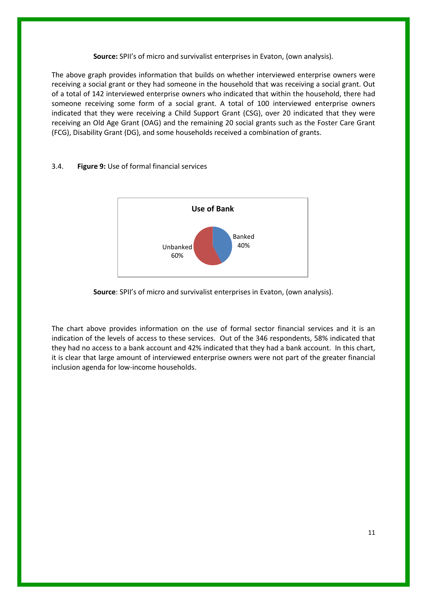#### **Source:** SPII's of micro and survivalist enterprises in Evaton, (own analysis).

The above graph provides information that builds on whether interviewed enterprise owners were receiving a social grant or they had someone in the household that was receiving a social grant. Out of a total of 142 interviewed enterprise owners who indicated that within the household, there had someone receiving some form of a social grant. A total of 100 interviewed enterprise owners indicated that they were receiving a Child Support Grant (CSG), over 20 indicated that they were receiving an Old Age Grant (OAG) and the remaining 20 social grants such as the Foster Care Grant (FCG), Disability Grant (DG), and some households received a combination of grants.

# 3.4. **Figure 9:** Use of formal financial services



## **Source**: SPII's of micro and survivalist enterprises in Evaton, (own analysis).

The chart above provides information on the use of formal sector financial services and it is an indication of the levels of access to these services. Out of the 346 respondents, 58% indicated that they had no access to a bank account and 42% indicated that they had a bank account. In this chart, it is clear that large amount of interviewed enterprise owners were not part of the greater financial inclusion agenda for low-income households.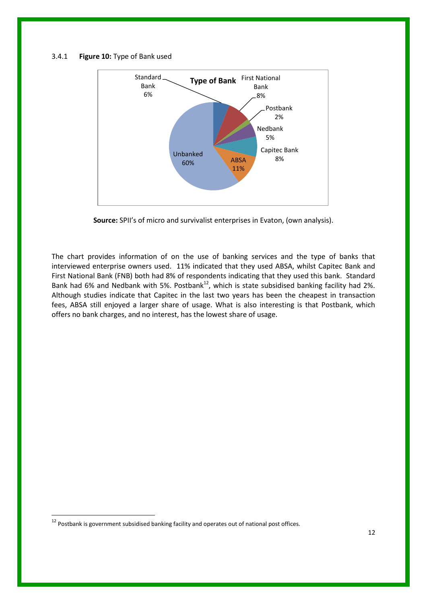#### 3.4.1 **Figure 10:** Type of Bank used



**Source:** SPII's of micro and survivalist enterprises in Evaton, (own analysis).

The chart provides information of on the use of banking services and the type of banks that interviewed enterprise owners used. 11% indicated that they used ABSA, whilst Capitec Bank and First National Bank (FNB) both had 8% of respondents indicating that they used this bank. Standard Bank had 6% and Nedbank with 5%. Postbank<sup>12</sup>, which is state subsidised banking facility had 2%. Although studies indicate that Capitec in the last two years has been the cheapest in transaction fees, ABSA still enjoyed a larger share of usage. What is also interesting is that Postbank, which offers no bank charges, and no interest, has the lowest share of usage.

1

 $12$  Postbank is government subsidised banking facility and operates out of national post offices.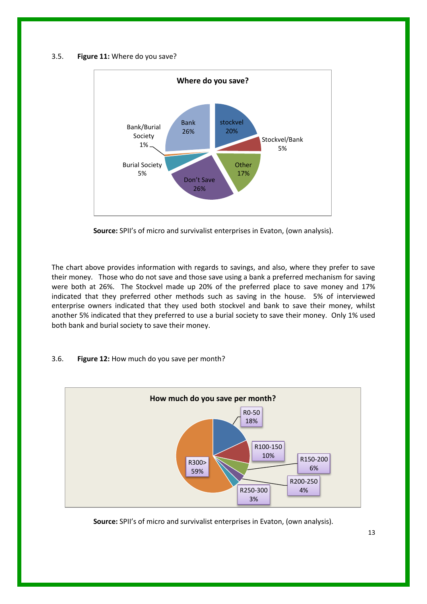#### 3.5. **Figure 11:** Where do you save?



**Source:** SPII's of micro and survivalist enterprises in Evaton, (own analysis).

The chart above provides information with regards to savings, and also, where they prefer to save their money. Those who do not save and those save using a bank a preferred mechanism for saving were both at 26%. The Stockvel made up 20% of the preferred place to save money and 17% indicated that they preferred other methods such as saving in the house. 5% of interviewed enterprise owners indicated that they used both stockvel and bank to save their money, whilst another 5% indicated that they preferred to use a burial society to save their money. Only 1% used both bank and burial society to save their money.

# 3.6. **Figure 12:** How much do you save per month?



**Source:** SPII's of micro and survivalist enterprises in Evaton, (own analysis).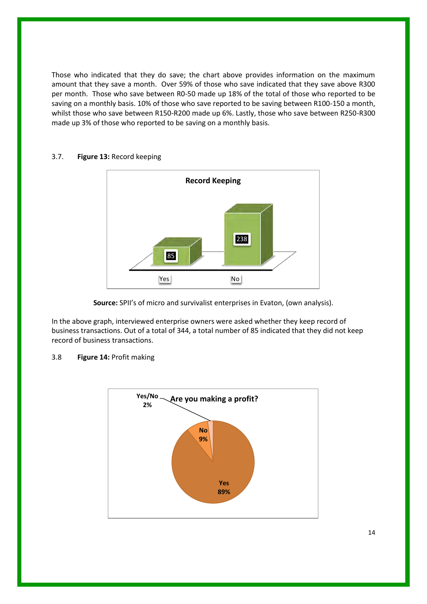Those who indicated that they do save; the chart above provides information on the maximum amount that they save a month. Over 59% of those who save indicated that they save above R300 per month. Those who save between R0-50 made up 18% of the total of those who reported to be saving on a monthly basis. 10% of those who save reported to be saving between R100-150 a month, whilst those who save between R150-R200 made up 6%. Lastly, those who save between R250-R300 made up 3% of those who reported to be saving on a monthly basis.



# 3.7. **Figure 13:** Record keeping

**Source:** SPII's of micro and survivalist enterprises in Evaton, (own analysis).

In the above graph, interviewed enterprise owners were asked whether they keep record of business transactions. Out of a total of 344, a total number of 85 indicated that they did not keep record of business transactions.

# 3.8 **Figure 14:** Profit making

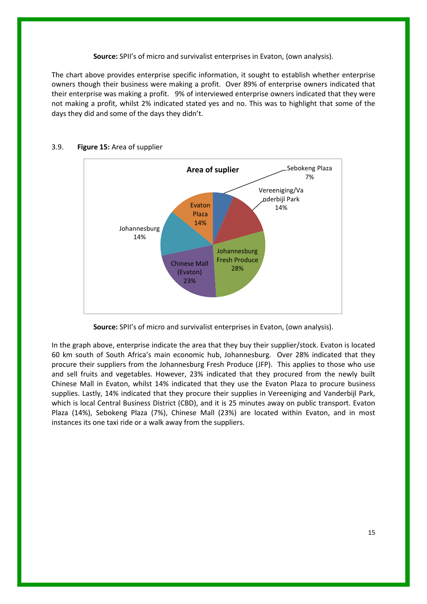## **Source:** SPII's of micro and survivalist enterprises in Evaton, (own analysis).

The chart above provides enterprise specific information, it sought to establish whether enterprise owners though their business were making a profit. Over 89% of enterprise owners indicated that their enterprise was making a profit. 9% of interviewed enterprise owners indicated that they were not making a profit, whilst 2% indicated stated yes and no. This was to highlight that some of the days they did and some of the days they didn't.



## 3.9. **Figure 15:** Area of supplier

**Source:** SPII's of micro and survivalist enterprises in Evaton, (own analysis).

In the graph above, enterprise indicate the area that they buy their supplier/stock. Evaton is located 60 km south of South Africa's main economic hub, Johannesburg. Over 28% indicated that they procure their suppliers from the Johannesburg Fresh Produce (JFP). This applies to those who use and sell fruits and vegetables. However, 23% indicated that they procured from the newly built Chinese Mall in Evaton, whilst 14% indicated that they use the Evaton Plaza to procure business supplies. Lastly, 14% indicated that they procure their supplies in Vereeniging and Vanderbijl Park, which is local Central Business District (CBD), and it is 25 minutes away on public transport. Evaton Plaza (14%), Sebokeng Plaza (7%), Chinese Mall (23%) are located within Evaton, and in most instances its one taxi ride or a walk away from the suppliers.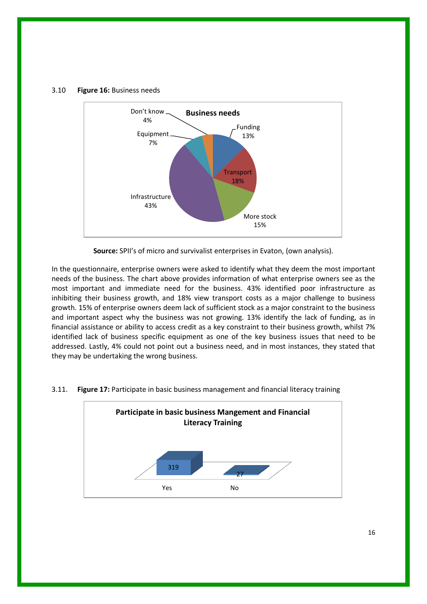### 3.10 **Figure 16:** Business needs



**Source:** SPII's of micro and survivalist enterprises in Evaton, (own analysis).

In the questionnaire, enterprise owners were asked to identify what they deem the most important needs of the business. The chart above provides information of what enterprise owners see as the most important and immediate need for the business. 43% identified poor infrastructure as inhibiting their business growth, and 18% view transport costs as a major challenge to business growth. 15% of enterprise owners deem lack of sufficient stock as a major constraint to the business and important aspect why the business was not growing. 13% identify the lack of funding, as in financial assistance or ability to access credit as a key constraint to their business growth, whilst 7% identified lack of business specific equipment as one of the key business issues that need to be addressed. Lastly, 4% could not point out a business need, and in most instances, they stated that they may be undertaking the wrong business.



#### 3.11. **Figure 17:** Participate in basic business management and financial literacy training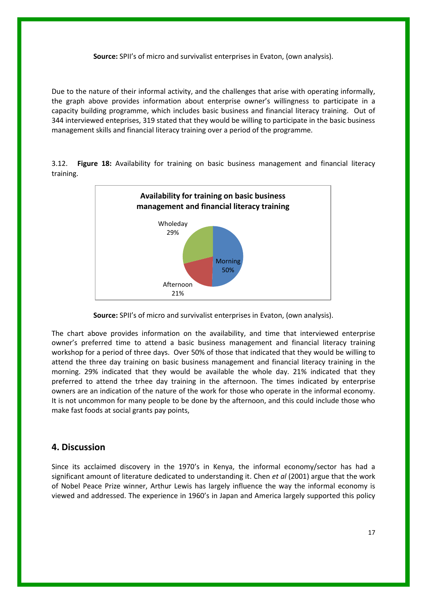#### **Source:** SPII's of micro and survivalist enterprises in Evaton, (own analysis).

Due to the nature of their informal activity, and the challenges that arise with operating informally, the graph above provides information about enterprise owner's willingness to participate in a capacity building programme, which includes basic business and financial literacy training. Out of 344 interviewed enteprises, 319 stated that they would be willing to participate in the basic business management skills and financial literacy training over a period of the programme.

3.12. **Figure 18:** Availability for training on basic business management and financial literacy training.



**Source:** SPII's of micro and survivalist enterprises in Evaton, (own analysis).

The chart above provides information on the availability, and time that interviewed enterprise owner's preferred time to attend a basic business management and financial literacy training workshop for a period of three days. Over 50% of those that indicated that they would be willing to attend the three day training on basic business management and financial literacy training in the morning. 29% indicated that they would be available the whole day. 21% indicated that they preferred to attend the trhee day training in the afternoon. The times indicated by enterprise owners are an indication of the nature of the work for those who operate in the informal economy. It is not uncommon for many people to be done by the afternoon, and this could include those who make fast foods at social grants pay points,

# **4. Discussion**

Since its acclaimed discovery in the 1970's in Kenya, the informal economy/sector has had a significant amount of literature dedicated to understanding it. Chen *et al* (2001) argue that the work of Nobel Peace Prize winner, Arthur Lewis has largely influence the way the informal economy is viewed and addressed. The experience in 1960's in Japan and America largely supported this policy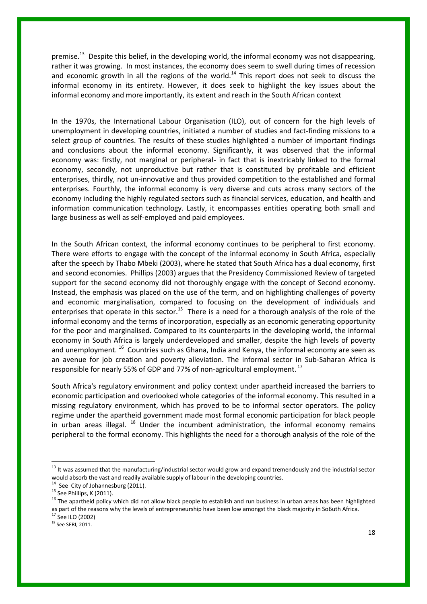premise.<sup>13</sup> Despite this belief, in the developing world, the informal economy was not disappearing, rather it was growing. In most instances, the economy does seem to swell during times of recession and economic growth in all the regions of the world.<sup>14</sup> This report does not seek to discuss the informal economy in its entirety. However, it does seek to highlight the key issues about the informal economy and more importantly, its extent and reach in the South African context

In the 1970s, the International Labour Organisation (ILO), out of concern for the high levels of unemployment in developing countries, initiated a number of studies and fact-finding missions to a select group of countries. The results of these studies highlighted a number of important findings and conclusions about the informal economy. Significantly, it was observed that the informal economy was: firstly, not marginal or peripheral- in fact that is inextricably linked to the formal economy, secondly, not unproductive but rather that is constituted by profitable and efficient enterprises, thirdly, not un-innovative and thus provided competition to the established and formal enterprises. Fourthly, the informal economy is very diverse and cuts across many sectors of the economy including the highly regulated sectors such as financial services, education, and health and information communication technology. Lastly, it encompasses entities operating both small and large business as well as self-employed and paid employees.

In the South African context, the informal economy continues to be peripheral to first economy. There were efforts to engage with the concept of the informal economy in South Africa, especially after the speech by Thabo Mbeki (2003), where he stated that South Africa has a dual economy, first and second economies. Phillips (2003) argues that the Presidency Commissioned Review of targeted support for the second economy did not thoroughly engage with the concept of Second economy. Instead, the emphasis was placed on the use of the term, and on highlighting challenges of poverty and economic marginalisation, compared to focusing on the development of individuals and enterprises that operate in this sector.<sup>15</sup> There is a need for a thorough analysis of the role of the informal economy and the terms of incorporation, especially as an economic generating opportunity for the poor and marginalised. Compared to its counterparts in the developing world, the informal economy in South Africa is largely underdeveloped and smaller, despite the high levels of poverty and unemployment. <sup>16</sup> Countries such as Ghana, India and Kenya, the informal economy are seen as an avenue for job creation and poverty alleviation. The informal sector in Sub-Saharan Africa is responsible for nearly 55% of GDP and 77% of non-agricultural employment.<sup>17</sup>

South Africa's regulatory environment and policy context under apartheid increased the barriers to economic participation and overlooked whole categories of the informal economy. This resulted in a missing regulatory environment, which has proved to be to informal sector operators. The policy regime under the apartheid government made most formal economic participation for black people in urban areas illegal.  $^{18}$  Under the incumbent administration, the informal economy remains peripheral to the formal economy. This highlights the need for a thorough analysis of the role of the

1

 $^{13}$  It was assumed that the manufacturing/industrial sector would grow and expand tremendously and the industrial sector would absorb the vast and readily available supply of labour in the developing countries.

 $14$  See City of Johannesburg (2011).

<sup>&</sup>lt;sup>15</sup> See Phillips, K (2011).

<sup>&</sup>lt;sup>16</sup> The apartheid policy which did not allow black people to establish and run business in urban areas has been highlighted as part of the reasons why the levels of entrepreneurship have been low amongst the black majority in So6uth Africa.  $17$  See ILO (2002)

<sup>18</sup> See SERI, 2011.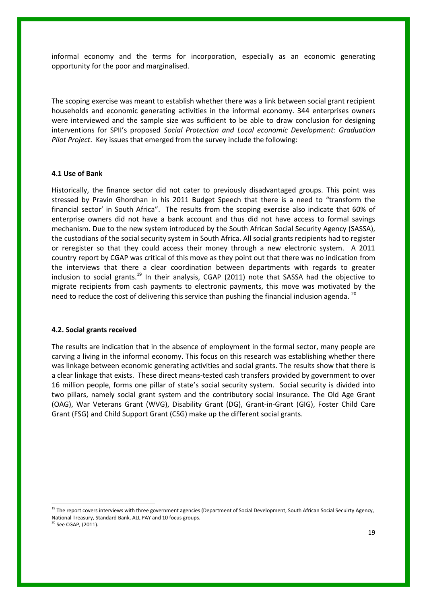informal economy and the terms for incorporation, especially as an economic generating opportunity for the poor and marginalised.

The scoping exercise was meant to establish whether there was a link between social grant recipient households and economic generating activities in the informal economy. 344 enterprises owners were interviewed and the sample size was sufficient to be able to draw conclusion for designing interventions for SPII's proposed *Social Protection and Local economic Development: Graduation Pilot Project*. Key issues that emerged from the survey include the following:

#### **4.1 Use of Bank**

Historically, the finance sector did not cater to previously disadvantaged groups. This point was stressed by Pravin Ghordhan in his 2011 Budget Speech that there is a need to "transform the financial sector' in South Africa". The results from the scoping exercise also indicate that 60% of enterprise owners did not have a bank account and thus did not have access to formal savings mechanism. Due to the new system introduced by the South African Social Security Agency (SASSA), the custodians of the social security system in South Africa. All social grants recipients had to register or reregister so that they could access their money through a new electronic system. A 2011 country report by CGAP was critical of this move as they point out that there was no indication from the interviews that there a clear coordination between departments with regards to greater inclusion to social grants.<sup>19</sup> In their analysis, CGAP (2011) note that SASSA had the objective to migrate recipients from cash payments to electronic payments, this move was motivated by the need to reduce the cost of delivering this service than pushing the financial inclusion agenda. <sup>20</sup>

#### **4.2. Social grants received**

1

The results are indication that in the absence of employment in the formal sector, many people are carving a living in the informal economy. This focus on this research was establishing whether there was linkage between economic generating activities and social grants. The results show that there is a clear linkage that exists. These direct means-tested cash transfers provided by government to over 16 million people, forms one pillar of state's social security system. Social security is divided into two pillars, namely social grant system and the contributory social insurance. The Old Age Grant (OAG), War Veterans Grant (WVG), Disability Grant (DG), Grant-in-Grant (GIG), Foster Child Care Grant (FSG) and Child Support Grant (CSG) make up the different social grants.

<sup>19</sup> The report covers interviews with three government agencies (Department of Social Development, South African Social Secuirty Agency, National Treasury, Standard Bank, ALL PAY and 10 focus groups.  $20$  See CGAP, (2011).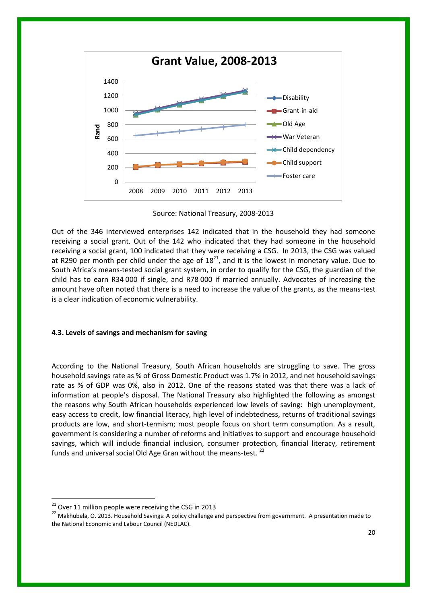

Source: National Treasury, 2008-2013

Out of the 346 interviewed enterprises 142 indicated that in the household they had someone receiving a social grant. Out of the 142 who indicated that they had someone in the household receiving a social grant, 100 indicated that they were receiving a CSG. In 2013, the CSG was valued at R290 per month per child under the age of  $18<sup>21</sup>$ , and it is the lowest in monetary value. Due to South Africa's means-tested social grant system, in order to qualify for the CSG, the guardian of the child has to earn R34 000 if single, and R78 000 if married annually. Advocates of increasing the amount have often noted that there is a need to increase the value of the grants, as the means-test is a clear indication of economic vulnerability.

## **4.3. Levels of savings and mechanism for saving**

According to the National Treasury, South African households are struggling to save. The gross household savings rate as % of Gross Domestic Product was 1.7% in 2012, and net household savings rate as % of GDP was 0%, also in 2012. One of the reasons stated was that there was a lack of information at people's disposal. The National Treasury also highlighted the following as amongst the reasons why South African households experienced low levels of saving: high unemployment, easy access to credit, low financial literacy, high level of indebtedness, returns of traditional savings products are low, and short-termism; most people focus on short term consumption. As a result, government is considering a number of reforms and initiatives to support and encourage household savings, which will include financial inclusion, consumer protection, financial literacy, retirement funds and universal social Old Age Gran without the means-test.  $^{22}$ 

 $21$  Over 11 million people were receiving the CSG in 2013

<sup>&</sup>lt;sup>22</sup> Makhubela. O. 2013. Household Savings: A policy challenge and perspective from government. A presentation made to the National Economic and Labour Council (NEDLAC).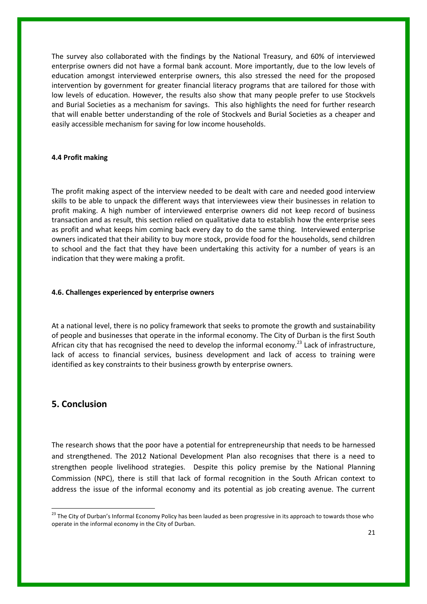The survey also collaborated with the findings by the National Treasury, and 60% of interviewed enterprise owners did not have a formal bank account. More importantly, due to the low levels of education amongst interviewed enterprise owners, this also stressed the need for the proposed intervention by government for greater financial literacy programs that are tailored for those with low levels of education. However, the results also show that many people prefer to use Stockvels and Burial Societies as a mechanism for savings. This also highlights the need for further research that will enable better understanding of the role of Stockvels and Burial Societies as a cheaper and easily accessible mechanism for saving for low income households.

#### **4.4 Profit making**

The profit making aspect of the interview needed to be dealt with care and needed good interview skills to be able to unpack the different ways that interviewees view their businesses in relation to profit making. A high number of interviewed enterprise owners did not keep record of business transaction and as result, this section relied on qualitative data to establish how the enterprise sees as profit and what keeps him coming back every day to do the same thing. Interviewed enterprise owners indicated that their ability to buy more stock, provide food for the households, send children to school and the fact that they have been undertaking this activity for a number of years is an indication that they were making a profit.

#### **4.6. Challenges experienced by enterprise owners**

At a national level, there is no policy framework that seeks to promote the growth and sustainability of people and businesses that operate in the informal economy. The City of Durban is the first South African city that has recognised the need to develop the informal economy.<sup>23</sup> Lack of infrastructure, lack of access to financial services, business development and lack of access to training were identified as key constraints to their business growth by enterprise owners.

# **5. Conclusion**

**.** 

The research shows that the poor have a potential for entrepreneurship that needs to be harnessed and strengthened. The 2012 National Development Plan also recognises that there is a need to strengthen people livelihood strategies. Despite this policy premise by the National Planning Commission (NPC), there is still that lack of formal recognition in the South African context to address the issue of the informal economy and its potential as job creating avenue. The current

<sup>&</sup>lt;sup>23</sup> The City of Durban's Informal Economy Policy has been lauded as been progressive in its approach to towards those who operate in the informal economy in the City of Durban.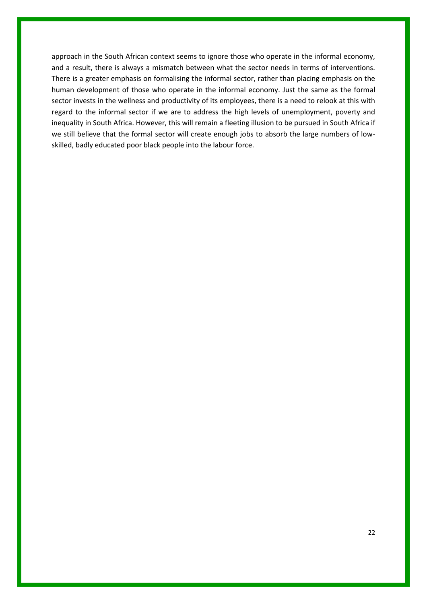approach in the South African context seems to ignore those who operate in the informal economy, and a result, there is always a mismatch between what the sector needs in terms of interventions. There is a greater emphasis on formalising the informal sector, rather than placing emphasis on the human development of those who operate in the informal economy. Just the same as the formal sector invests in the wellness and productivity of its employees, there is a need to relook at this with regard to the informal sector if we are to address the high levels of unemployment, poverty and inequality in South Africa. However, this will remain a fleeting illusion to be pursued in South Africa if we still believe that the formal sector will create enough jobs to absorb the large numbers of lowskilled, badly educated poor black people into the labour force.